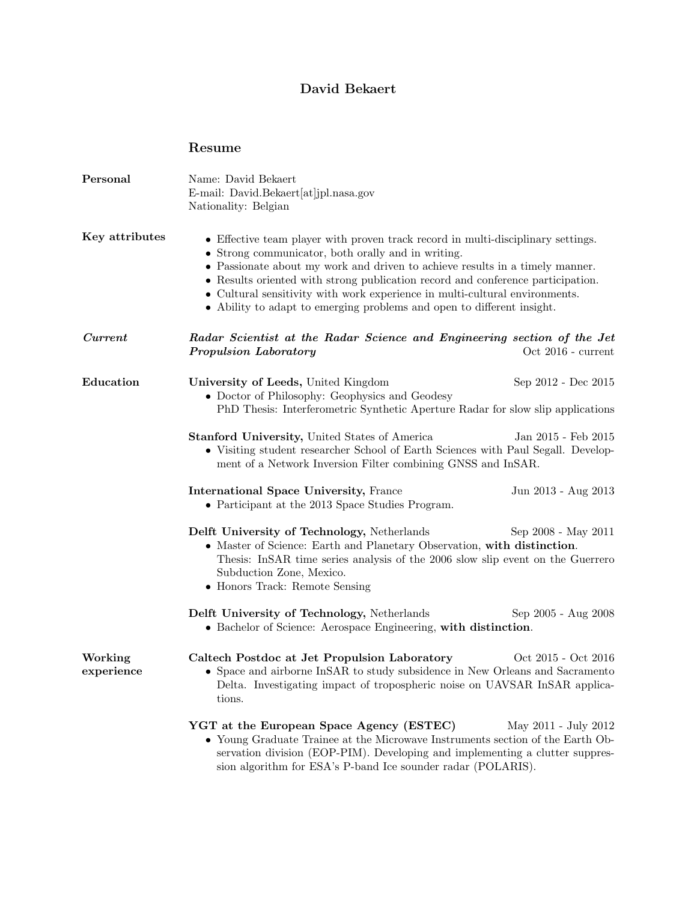## David Bekaert

## Resume

| Personal              | Name: David Bekaert<br>E-mail: David.Bekaert[at]jpl.nasa.gov<br>Nationality: Belgian                                                                                                                                                                                                                                                                                                                                                                               |
|-----------------------|--------------------------------------------------------------------------------------------------------------------------------------------------------------------------------------------------------------------------------------------------------------------------------------------------------------------------------------------------------------------------------------------------------------------------------------------------------------------|
| Key attributes        | • Effective team player with proven track record in multi-disciplinary settings.<br>• Strong communicator, both orally and in writing.<br>• Passionate about my work and driven to achieve results in a timely manner.<br>• Results oriented with strong publication record and conference participation.<br>• Cultural sensitivity with work experience in multi-cultural environments.<br>• Ability to adapt to emerging problems and open to different insight. |
| Current               | Radar Scientist at the Radar Science and Engineering section of the Jet<br>Propulsion Laboratory<br>Oct 2016 - current                                                                                                                                                                                                                                                                                                                                             |
| Education             | University of Leeds, United Kingdom<br>Sep 2012 - Dec 2015<br>• Doctor of Philosophy: Geophysics and Geodesy<br>PhD Thesis: Interferometric Synthetic Aperture Radar for slow slip applications                                                                                                                                                                                                                                                                    |
|                       | <b>Stanford University, United States of America</b><br>Jan 2015 - Feb 2015<br>• Visiting student researcher School of Earth Sciences with Paul Segall. Develop-<br>ment of a Network Inversion Filter combining GNSS and InSAR.                                                                                                                                                                                                                                   |
|                       | <b>International Space University, France</b><br>Jun 2013 - Aug 2013<br>• Participant at the 2013 Space Studies Program.                                                                                                                                                                                                                                                                                                                                           |
|                       | Delft University of Technology, Netherlands<br>Sep 2008 - May 2011<br>• Master of Science: Earth and Planetary Observation, with distinction.<br>Thesis: InSAR time series analysis of the 2006 slow slip event on the Guerrero<br>Subduction Zone, Mexico.<br>• Honors Track: Remote Sensing                                                                                                                                                                      |
|                       | Delft University of Technology, Netherlands<br>Sep 2005 - Aug 2008<br>• Bachelor of Science: Aerospace Engineering, with distinction.                                                                                                                                                                                                                                                                                                                              |
| Working<br>experience | Caltech Postdoc at Jet Propulsion Laboratory<br>Oct 2015 - Oct 2016<br>• Space and airborne InSAR to study subsidence in New Orleans and Sacramento<br>Delta. Investigating impact of tropospheric noise on UAVSAR InSAR applica-<br>tions.                                                                                                                                                                                                                        |
|                       | YGT at the European Space Agency (ESTEC)<br>May 2011 - July 2012<br>• Young Graduate Trainee at the Microwave Instruments section of the Earth Ob-<br>servation division (EOP-PIM). Developing and implementing a clutter suppres-<br>sion algorithm for ESA's P-band Ice sounder radar (POLARIS).                                                                                                                                                                 |